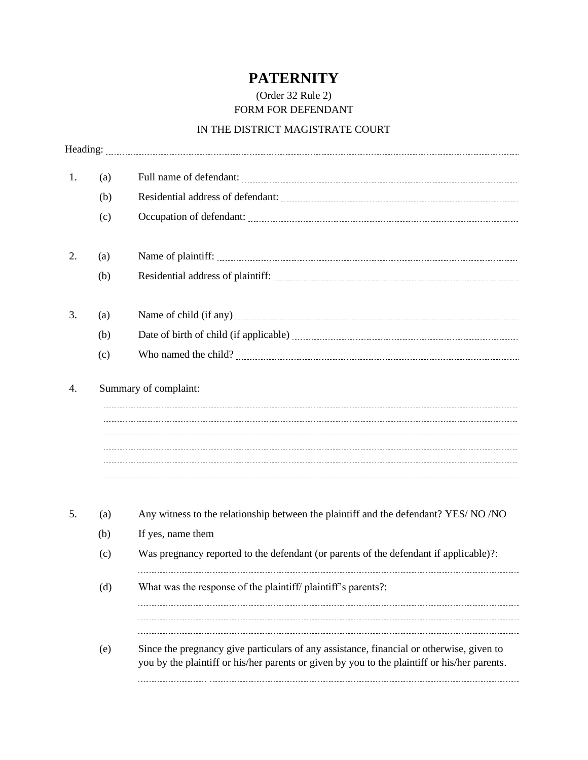## **PATERNITY**

## (Order 32 Rule 2) FORM FOR DEFENDANT

## IN THE DISTRICT MAGISTRATE COURT

| 1.       | (a) |                                                                                                                                                                                          |
|----------|-----|------------------------------------------------------------------------------------------------------------------------------------------------------------------------------------------|
|          | (b) |                                                                                                                                                                                          |
|          | (c) |                                                                                                                                                                                          |
| 2.       | (a) |                                                                                                                                                                                          |
|          | (b) |                                                                                                                                                                                          |
| 3.<br>4. | (a) |                                                                                                                                                                                          |
|          | (b) |                                                                                                                                                                                          |
|          | (c) |                                                                                                                                                                                          |
|          |     |                                                                                                                                                                                          |
| 5.       | (a) | Any witness to the relationship between the plaintiff and the defendant? YES/ NO /NO                                                                                                     |
|          | (b) | If yes, name them                                                                                                                                                                        |
|          | (c) | Was pregnancy reported to the defendant (or parents of the defendant if applicable)?:                                                                                                    |
|          | (d) | What was the response of the plaintiff/ plaintiff's parents?:                                                                                                                            |
|          | (e) | Since the pregnancy give particulars of any assistance, financial or otherwise, given to<br>you by the plaintiff or his/her parents or given by you to the plaintiff or his/her parents. |
|          |     |                                                                                                                                                                                          |